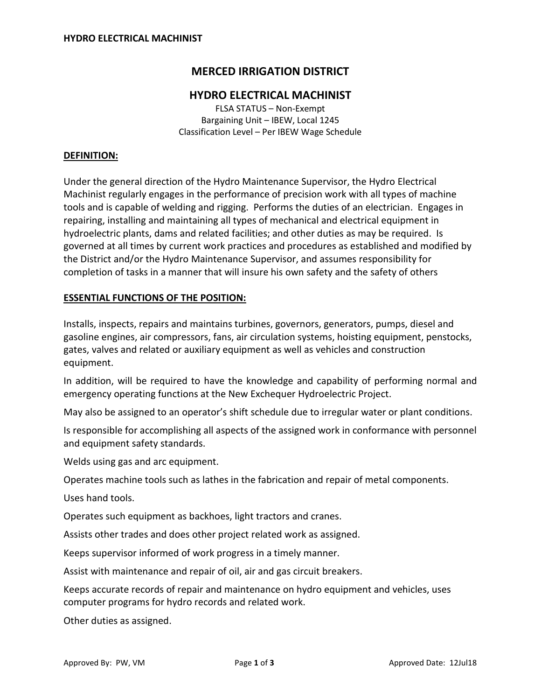# **MERCED IRRIGATION DISTRICT**

## **HYDRO ELECTRICAL MACHINIST**

FLSA STATUS – Non-Exempt Bargaining Unit – IBEW, Local 1245 Classification Level – Per IBEW Wage Schedule

#### **DEFINITION:**

Under the general direction of the Hydro Maintenance Supervisor, the Hydro Electrical Machinist regularly engages in the performance of precision work with all types of machine tools and is capable of welding and rigging. Performs the duties of an electrician. Engages in repairing, installing and maintaining all types of mechanical and electrical equipment in hydroelectric plants, dams and related facilities; and other duties as may be required. Is governed at all times by current work practices and procedures as established and modified by the District and/or the Hydro Maintenance Supervisor, and assumes responsibility for completion of tasks in a manner that will insure his own safety and the safety of others

#### **ESSENTIAL FUNCTIONS OF THE POSITION:**

Installs, inspects, repairs and maintains turbines, governors, generators, pumps, diesel and gasoline engines, air compressors, fans, air circulation systems, hoisting equipment, penstocks, gates, valves and related or auxiliary equipment as well as vehicles and construction equipment.

In addition, will be required to have the knowledge and capability of performing normal and emergency operating functions at the New Exchequer Hydroelectric Project.

May also be assigned to an operator's shift schedule due to irregular water or plant conditions.

Is responsible for accomplishing all aspects of the assigned work in conformance with personnel and equipment safety standards.

Welds using gas and arc equipment.

Operates machine tools such as lathes in the fabrication and repair of metal components.

Uses hand tools.

Operates such equipment as backhoes, light tractors and cranes.

Assists other trades and does other project related work as assigned.

Keeps supervisor informed of work progress in a timely manner.

Assist with maintenance and repair of oil, air and gas circuit breakers.

Keeps accurate records of repair and maintenance on hydro equipment and vehicles, uses computer programs for hydro records and related work.

Other duties as assigned.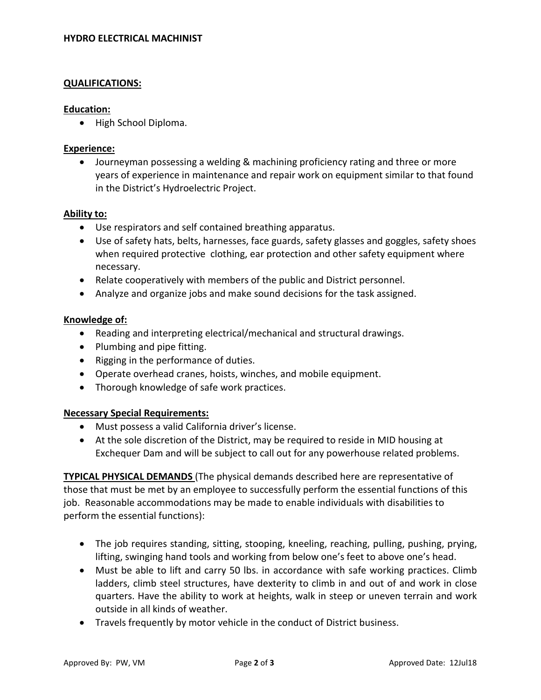## **QUALIFICATIONS:**

#### **Education:**

• High School Diploma.

## **Experience:**

• Journeyman possessing a welding & machining proficiency rating and three or more years of experience in maintenance and repair work on equipment similar to that found in the District's Hydroelectric Project.

## **Ability to:**

- Use respirators and self contained breathing apparatus.
- Use of safety hats, belts, harnesses, face guards, safety glasses and goggles, safety shoes when required protective clothing, ear protection and other safety equipment where necessary.
- Relate cooperatively with members of the public and District personnel.
- Analyze and organize jobs and make sound decisions for the task assigned.

## **Knowledge of:**

- Reading and interpreting electrical/mechanical and structural drawings.
- Plumbing and pipe fitting.
- Rigging in the performance of duties.
- Operate overhead cranes, hoists, winches, and mobile equipment.
- Thorough knowledge of safe work practices.

## **Necessary Special Requirements:**

- Must possess a valid California driver's license.
- At the sole discretion of the District, may be required to reside in MID housing at Exchequer Dam and will be subject to call out for any powerhouse related problems.

**TYPICAL PHYSICAL DEMANDS** (The physical demands described here are representative of those that must be met by an employee to successfully perform the essential functions of this job. Reasonable accommodations may be made to enable individuals with disabilities to perform the essential functions):

- The job requires standing, sitting, stooping, kneeling, reaching, pulling, pushing, prying, lifting, swinging hand tools and working from below one's feet to above one's head.
- Must be able to lift and carry 50 lbs. in accordance with safe working practices. Climb ladders, climb steel structures, have dexterity to climb in and out of and work in close quarters. Have the ability to work at heights, walk in steep or uneven terrain and work outside in all kinds of weather.
- Travels frequently by motor vehicle in the conduct of District business.